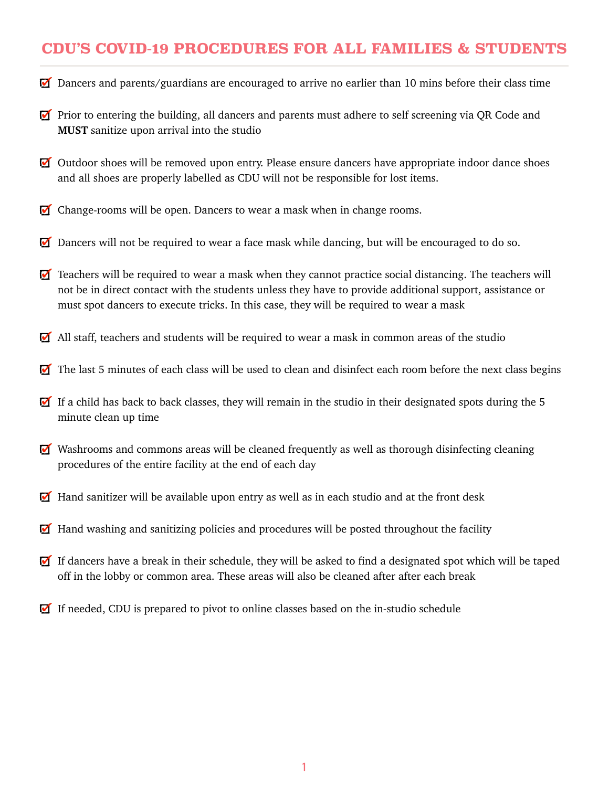#### **CDU'S COVID-19 PROCEDURES FOR ALL FAMILIES & STUDENTS**

- Dancers and parents/guardians are encouraged to arrive no earlier than 10 mins before their class time
- **Prior to entering the building, all dancers and parents must adhere to self screening via QR Code and MUST** sanitize upon arrival into the studio
- Outdoor shoes will be removed upon entry. Please ensure dancers have appropriate indoor dance shoes and all shoes are properly labelled as CDU will not be responsible for lost items. **Back to Dance**
- Change-rooms will be open. Dancers to wear a mask when in change rooms.
- Dancers will not be required to wear a face mask while dancing, but will be encouraged to do so.
- Teachers will be required to wear a mask when they cannot practice social distancing. The teachers will not be in direct contact with the students unless they have to provide additional support, assistance or must spot dancers to execute tricks. In this case, they will be required to wear a mask
- $\blacksquare$  All staff, teachers and students will be required to wear a mask in common areas of the studio
- $\blacksquare$  The last 5 minutes of each class will be used to clean and disinfect each room before the next class begins
- If a child has back to back classes, they will remain in the studio in their designated spots during the 5 minute clean up time
- $\blacksquare$  Washrooms and commons areas will be cleaned frequently as well as thorough disinfecting cleaning procedures of the entire facility at the end of each day
- Hand sanitizer will be available upon entry as well as in each studio and at the front desk
- Hand washing and sanitizing policies and procedures will be posted throughout the facility
- If dancers have a break in their schedule, they will be asked to find a designated spot which will be taped off in the lobby or common area. These areas will also be cleaned after after each break
- If needed, CDU is prepared to pivot to online classes based on the in-studio schedule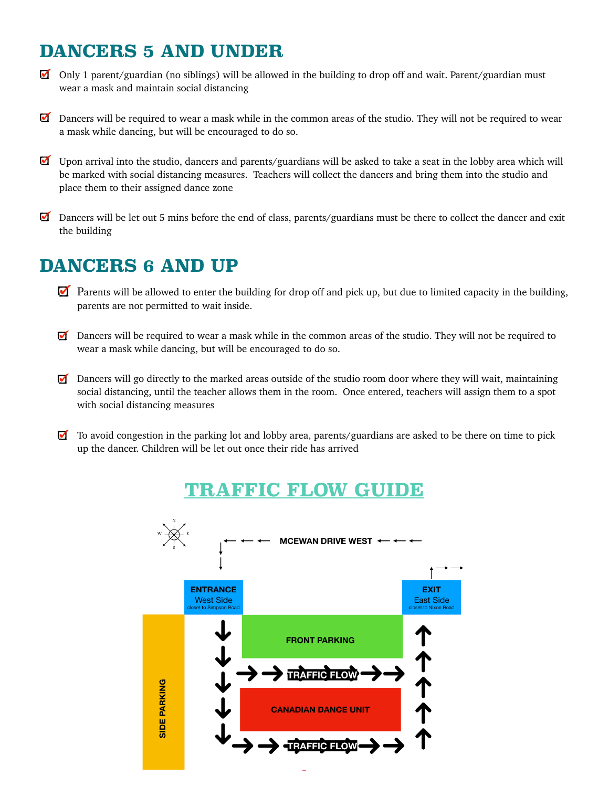## **DANCERS 5 AND UNDER**

- Only 1 parent/guardian (no siblings) will be allowed in the building to drop off and wait. Parent/guardian must wear a mask and maintain social distancing
- Dancers will be required to wear a mask while in the common areas of the studio. They will not be required to wear a mask while dancing, but will be encouraged to do so.
- $\Box$  Upon arrival into the studio, dancers and parents/guardians will be asked to take a seat in the lobby area which will be marked with social distancing measures. Teachers will collect the dancers and bring them into the studio and place them to their assigned dance zone
- Dancers will be let out 5 mins before the end of class, parents/guardians must be there to collect the dancer and exit the building

## **DANCERS 6 AND UP**

- **Parents will be allowed to enter the building for drop off and pick up, but due to limited capacity in the building,** parents are not permitted to wait inside.
- $\Box$  Dancers will be required to wear a mask while in the common areas of the studio. They will not be required to wear a mask while dancing, but will be encouraged to do so.
- $\Box$  Dancers will go directly to the marked areas outside of the studio room door where they will wait, maintaining social distancing, until the teacher allows them in the room. Once entered, teachers will assign them to a spot with social distancing measures
- $\blacksquare$  To avoid congestion in the parking lot and lobby area, parents/guardians are asked to be there on time to pick up the dancer. Children will be let out once their ride has arrived

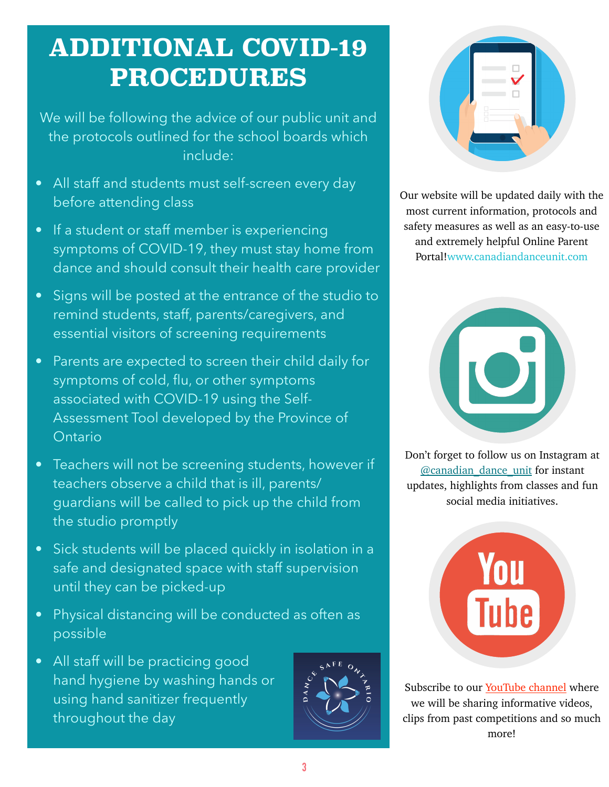## **ADDITIONAL COVID-19 PROCEDURES**

We will be following the advice of our public unit and the protocols outlined for the school boards which include:

- All staff and students must self-screen every day before attending class
- If a student or staff member is experiencing symptoms of COVID-19, they must stay home from dance and should consult their health care provider
- Signs will be posted at the entrance of the studio to remind students, staff, parents/caregivers, and essential visitors of screening requirements
- Parents are expected to screen their child daily for symptoms of cold, flu, or other symptoms associated with COVID-19 using the Self-Assessment Tool developed by the Province of Ontario
- Teachers will not be screening students, however if teachers observe a child that is ill, parents/ guardians will be called to pick up the child from the studio promptly
- Sick students will be placed quickly in isolation in a safe and designated space with staff supervision until they can be picked-up
- Physical distancing will be conducted as often as possible
- All staff will be practicing good hand hygiene by washing hands or using hand sanitizer frequently throughout the day





Our website will be updated daily with the most current information, protocols and safety measures as well as an easy-to-use and extremely helpful Online Parent Portal![www.canadiandanceunit.com](http://www.canadiandanceunit.com/)



Don't forget to follow us on Instagram at [@canadian\\_dance\\_unit](https://www.instagram.com/canadian_dance_unit/) for instant updates, highlights from classes and fun social media initiatives.



Subscribe to our [YouTube channel](https://www.youtube.com/channel/UC3OIeuGIKo4-qX9vM4y4q6A) where we will be sharing informative videos, clips from past competitions and so much more!